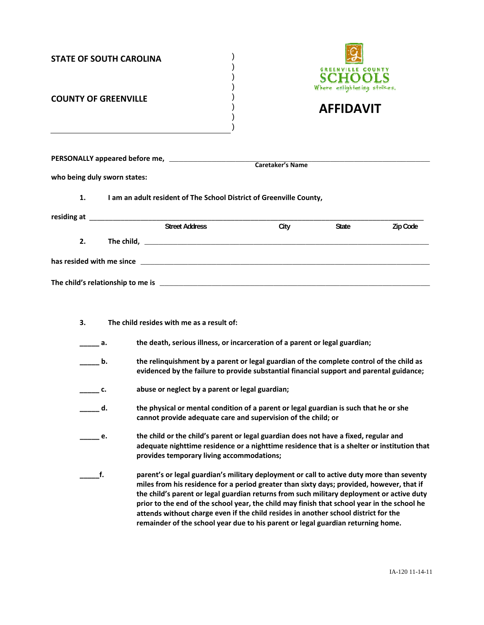| <b>STATE OF SOUTH CAROLINA</b> |                |                                                                                                                                                                                                                                                                                                                                                                                                                                                                                                                                                               | <b>GREENVILLE COUNTY</b><br>CHOO                |       |          |
|--------------------------------|----------------|---------------------------------------------------------------------------------------------------------------------------------------------------------------------------------------------------------------------------------------------------------------------------------------------------------------------------------------------------------------------------------------------------------------------------------------------------------------------------------------------------------------------------------------------------------------|-------------------------------------------------|-------|----------|
| <b>COUNTY OF GREENVILLE</b>    |                |                                                                                                                                                                                                                                                                                                                                                                                                                                                                                                                                                               | Where enlightening strikes.<br><b>AFFIDAVIT</b> |       |          |
|                                |                |                                                                                                                                                                                                                                                                                                                                                                                                                                                                                                                                                               |                                                 |       |          |
| who being duly sworn states:   |                |                                                                                                                                                                                                                                                                                                                                                                                                                                                                                                                                                               |                                                 |       |          |
| 1.                             |                | I am an adult resident of The School District of Greenville County,                                                                                                                                                                                                                                                                                                                                                                                                                                                                                           |                                                 |       |          |
|                                |                |                                                                                                                                                                                                                                                                                                                                                                                                                                                                                                                                                               |                                                 |       |          |
|                                |                | <b>Street Address</b>                                                                                                                                                                                                                                                                                                                                                                                                                                                                                                                                         | City                                            | State | Zip Code |
| 2.                             |                |                                                                                                                                                                                                                                                                                                                                                                                                                                                                                                                                                               |                                                 |       |          |
|                                |                |                                                                                                                                                                                                                                                                                                                                                                                                                                                                                                                                                               |                                                 |       |          |
| 3.                             |                | The child resides with me as a result of:                                                                                                                                                                                                                                                                                                                                                                                                                                                                                                                     |                                                 |       |          |
|                                | а.             | the death, serious illness, or incarceration of a parent or legal guardian;                                                                                                                                                                                                                                                                                                                                                                                                                                                                                   |                                                 |       |          |
|                                | b.             | the relinquishment by a parent or legal guardian of the complete control of the child as<br>evidenced by the failure to provide substantial financial support and parental guidance;                                                                                                                                                                                                                                                                                                                                                                          |                                                 |       |          |
|                                | $\mathbf{C}$ . | abuse or neglect by a parent or legal guardian;                                                                                                                                                                                                                                                                                                                                                                                                                                                                                                               |                                                 |       |          |
|                                | d.             | the physical or mental condition of a parent or legal guardian is such that he or she<br>cannot provide adequate care and supervision of the child; or                                                                                                                                                                                                                                                                                                                                                                                                        |                                                 |       |          |
|                                | e.             | the child or the child's parent or legal guardian does not have a fixed, regular and<br>adequate nighttime residence or a nighttime residence that is a shelter or institution that<br>provides temporary living accommodations;                                                                                                                                                                                                                                                                                                                              |                                                 |       |          |
|                                | f.             | parent's or legal guardian's military deployment or call to active duty more than seventy<br>miles from his residence for a period greater than sixty days; provided, however, that if<br>the child's parent or legal guardian returns from such military deployment or active duty<br>prior to the end of the school year, the child may finish that school year in the school he<br>attends without charge even if the child resides in another school district for the<br>remainder of the school year due to his parent or legal guardian returning home. |                                                 |       |          |